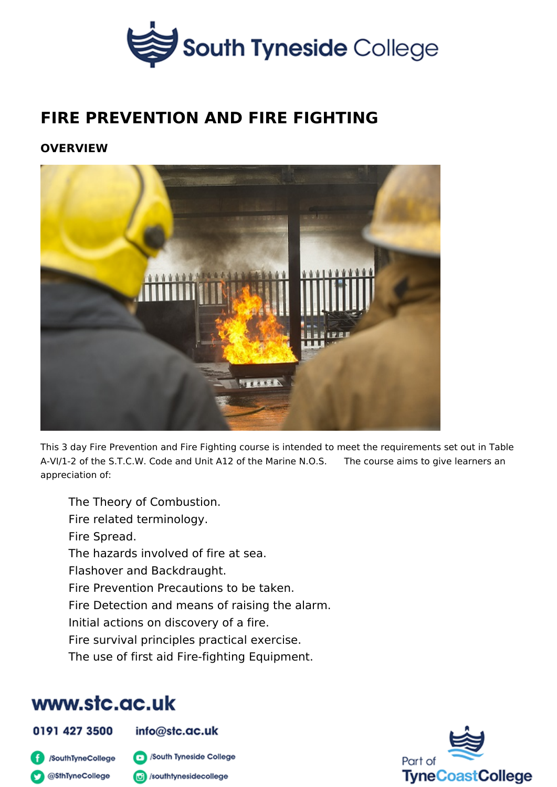### FIRE PREVENTION AND FIRE FIGHTING

OVERVIEW

This 3 day Fire Prevention and Fire Fighting course is intended to meet the requ A-VI/1e2 the S.T.C.W. Code and Unit A12 of the Marcioner NeOaiSms to give learners appreciation of:

The Theory of Combustion. Fire related terminology. Fire Spread. The hazards involved of fire at sea. Flashover and Backdraught. Fire Prevention Precautions to be taken. Fire Detection and means of raising the alarm. Initial actions on discovery of a fire. Fire survival principles practical exercise. The use of first aid Fire-fighting Equipment.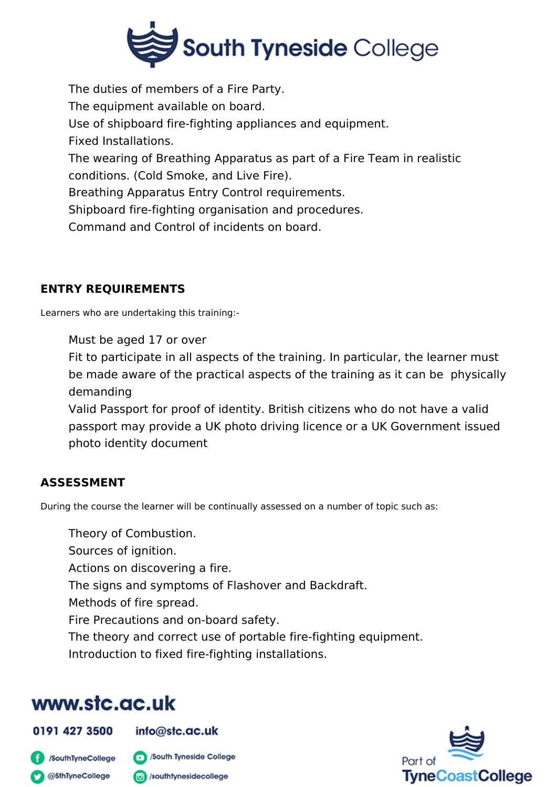

The duties of members of a Fire Party. The equipment available on board. Use of shipboard fire-fighting appliances and equipment. Fixed Installations. The wearing of Breathing Apparatus as part of a Fire Team in realistic conditions. (Cold Smoke, and Live Fire). Breathing Apparatus Entry Control requirements. Shipboard fire-fighting organisation and procedures. Command and Control of incidents on board.

### **ENTRY REQUIREMENTS**

Learners who are undertaking this training:-

Must be aged 17 or over

Fit to participate in all aspects of the training. In particular, the learner must be made aware of the practical aspects of the training as it can be physically demanding

Valid Passport for proof of identity. British citizens who do not have a valid passport may provide a UK photo driving licence or a UK Government issued photo identity document

### **ASSESSMENT**

During the course the learner will be continually assessed on a number of topic such as:

Theory of Combustion.

Sources of ignition.

Actions on discovering a fire.

The signs and symptoms of Flashover and Backdraft.

Methods of fire spread.

Fire Precautions and on-board safety.

The theory and correct use of portable fire-fighting equipment.

Introduction to fixed fire-fighting installations.

# www.stc.ac.uk

0191 427 3500

#### $info@$ stc.ac.uk

SouthTyneCollege **C** @SthTyneCollege



o /southtynesidecollege

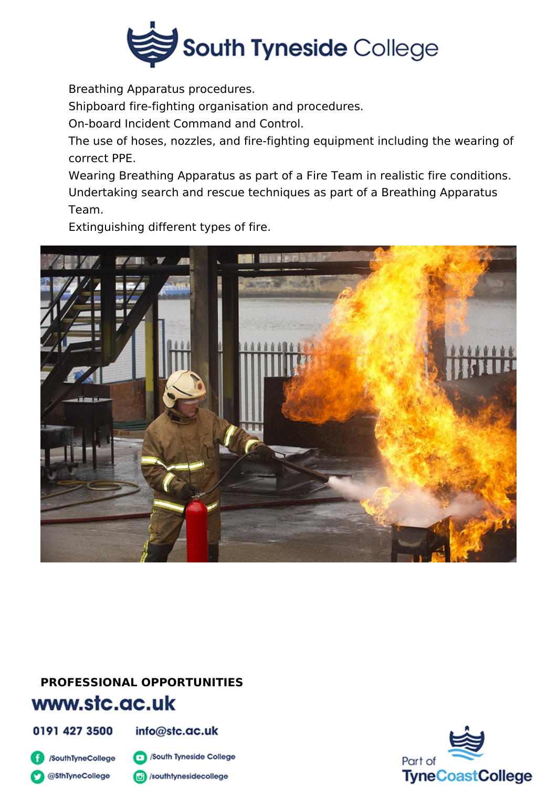

Breathing Apparatus procedures.

Shipboard fire-fighting organisation and procedures.

On-board Incident Command and Control.

The use of hoses, nozzles, and fire-fighting equipment including the wearing of correct PPE.

Wearing Breathing Apparatus as part of a Fire Team in realistic fire conditions. Undertaking search and rescue techniques as part of a Breathing Apparatus Team.

Extinguishing different types of fire.



# **PROFESSIONAL OPPORTUNITIES**

## www.stc.ac.uk

0191 427 3500

info@stc.ac.uk

SouthTyneCollege **C** @SthTyneCollege

South Tyneside College

(c) /southtynesidecollege